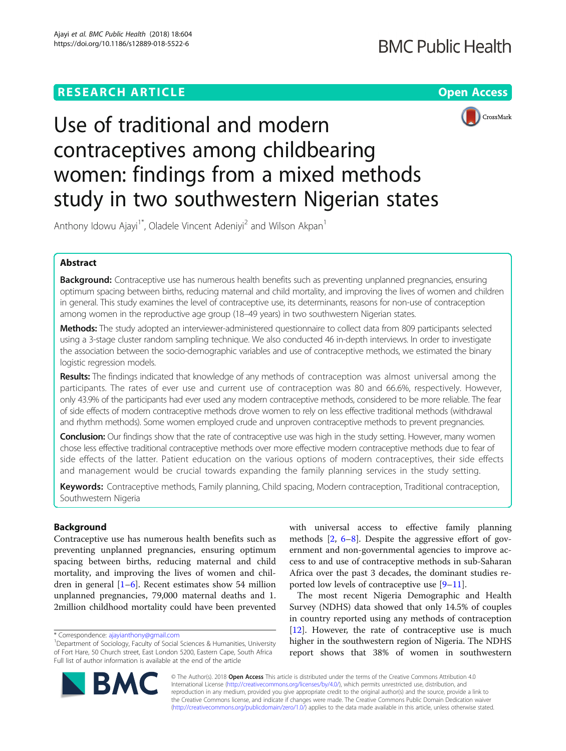

# Use of traditional and modern contraceptives among childbearing women: findings from a mixed methods study in two southwestern Nigerian states

Anthony Idowu Ajayi<sup>1\*</sup>, Oladele Vincent Adeniyi<sup>2</sup> and Wilson Akpan<sup>1</sup>

# Abstract

Background: Contraceptive use has numerous health benefits such as preventing unplanned pregnancies, ensuring optimum spacing between births, reducing maternal and child mortality, and improving the lives of women and children in general. This study examines the level of contraceptive use, its determinants, reasons for non-use of contraception among women in the reproductive age group (18–49 years) in two southwestern Nigerian states.

Methods: The study adopted an interviewer-administered questionnaire to collect data from 809 participants selected using a 3-stage cluster random sampling technique. We also conducted 46 in-depth interviews. In order to investigate the association between the socio-demographic variables and use of contraceptive methods, we estimated the binary logistic regression models.

Results: The findings indicated that knowledge of any methods of contraception was almost universal among the participants. The rates of ever use and current use of contraception was 80 and 66.6%, respectively. However, only 43.9% of the participants had ever used any modern contraceptive methods, considered to be more reliable. The fear of side effects of modern contraceptive methods drove women to rely on less effective traditional methods (withdrawal and rhythm methods). Some women employed crude and unproven contraceptive methods to prevent pregnancies.

Conclusion: Our findings show that the rate of contraceptive use was high in the study setting. However, many women chose less effective traditional contraceptive methods over more effective modern contraceptive methods due to fear of side effects of the latter. Patient education on the various options of modern contraceptives, their side effects and management would be crucial towards expanding the family planning services in the study setting.

Keywords: Contraceptive methods, Family planning, Child spacing, Modern contraception, Traditional contraception, Southwestern Nigeria

# Background

Contraceptive use has numerous health benefits such as preventing unplanned pregnancies, ensuring optimum spacing between births, reducing maternal and child mortality, and improving the lives of women and children in general [[1](#page-7-0)–[6](#page-8-0)]. Recent estimates show 54 million unplanned pregnancies, 79,000 maternal deaths and 1. 2million childhood mortality could have been prevented with universal access to effective family planning methods [\[2](#page-7-0), [6](#page-8-0)–[8\]](#page-8-0). Despite the aggressive effort of government and non-governmental agencies to improve access to and use of contraceptive methods in sub-Saharan Africa over the past 3 decades, the dominant studies reported low levels of contraceptive use [\[9](#page-8-0)–[11](#page-8-0)].

The most recent Nigeria Demographic and Health Survey (NDHS) data showed that only 14.5% of couples in country reported using any methods of contraception [[12\]](#page-8-0). However, the rate of contraceptive use is much higher in the southwestern region of Nigeria. The NDHS report shows that 38% of women in southwestern



© The Author(s). 2018 Open Access This article is distributed under the terms of the Creative Commons Attribution 4.0 International License [\(http://creativecommons.org/licenses/by/4.0/](http://creativecommons.org/licenses/by/4.0/)), which permits unrestricted use, distribution, and reproduction in any medium, provided you give appropriate credit to the original author(s) and the source, provide a link to the Creative Commons license, and indicate if changes were made. The Creative Commons Public Domain Dedication waiver [\(http://creativecommons.org/publicdomain/zero/1.0/](http://creativecommons.org/publicdomain/zero/1.0/)) applies to the data made available in this article, unless otherwise stated.

<sup>\*</sup> Correspondence: [ajayianthony@gmail.com](mailto:ajayianthony@gmail.com) <sup>1</sup>

Department of Sociology, Faculty of Social Sciences & Humanities, University of Fort Hare, 50 Church street, East London 5200, Eastern Cape, South Africa Full list of author information is available at the end of the article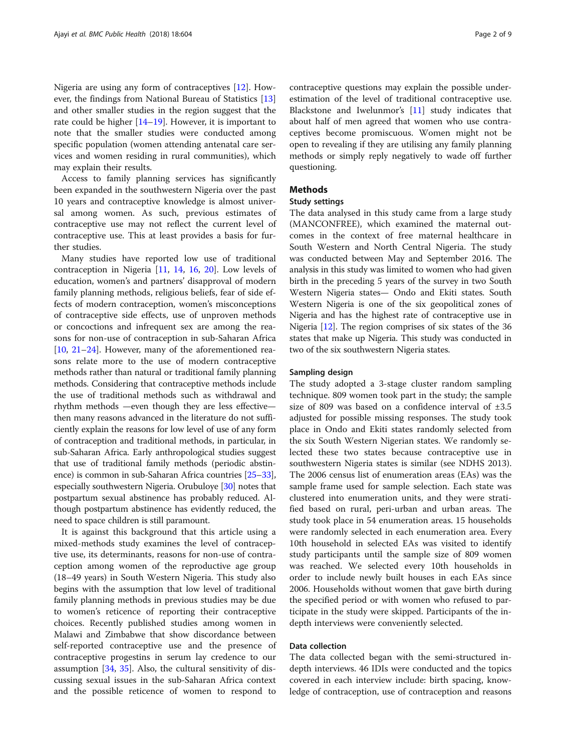Nigeria are using any form of contraceptives [[12\]](#page-8-0). However, the findings from National Bureau of Statistics [[13](#page-8-0)] and other smaller studies in the region suggest that the rate could be higher [[14](#page-8-0)–[19](#page-8-0)]. However, it is important to note that the smaller studies were conducted among specific population (women attending antenatal care services and women residing in rural communities), which may explain their results.

Access to family planning services has significantly been expanded in the southwestern Nigeria over the past 10 years and contraceptive knowledge is almost universal among women. As such, previous estimates of contraceptive use may not reflect the current level of contraceptive use. This at least provides a basis for further studies.

Many studies have reported low use of traditional contraception in Nigeria [[11](#page-8-0), [14,](#page-8-0) [16,](#page-8-0) [20\]](#page-8-0). Low levels of education, women's and partners' disapproval of modern family planning methods, religious beliefs, fear of side effects of modern contraception, women's misconceptions of contraceptive side effects, use of unproven methods or concoctions and infrequent sex are among the reasons for non-use of contraception in sub-Saharan Africa [[10,](#page-8-0) [21](#page-8-0)–[24](#page-8-0)]. However, many of the aforementioned reasons relate more to the use of modern contraceptive methods rather than natural or traditional family planning methods. Considering that contraceptive methods include the use of traditional methods such as withdrawal and rhythm methods —even though they are less effective then many reasons advanced in the literature do not sufficiently explain the reasons for low level of use of any form of contraception and traditional methods, in particular, in sub-Saharan Africa. Early anthropological studies suggest that use of traditional family methods (periodic abstinence) is common in sub-Saharan Africa countries [\[25](#page-8-0)–[33](#page-8-0)], especially southwestern Nigeria. Orubuloye [\[30](#page-8-0)] notes that postpartum sexual abstinence has probably reduced. Although postpartum abstinence has evidently reduced, the need to space children is still paramount.

It is against this background that this article using a mixed-methods study examines the level of contraceptive use, its determinants, reasons for non-use of contraception among women of the reproductive age group (18–49 years) in South Western Nigeria. This study also begins with the assumption that low level of traditional family planning methods in previous studies may be due to women's reticence of reporting their contraceptive choices. Recently published studies among women in Malawi and Zimbabwe that show discordance between self-reported contraceptive use and the presence of contraceptive progestins in serum lay credence to our assumption [\[34](#page-8-0), [35\]](#page-8-0). Also, the cultural sensitivity of discussing sexual issues in the sub-Saharan Africa context and the possible reticence of women to respond to

contraceptive questions may explain the possible underestimation of the level of traditional contraceptive use. Blackstone and Iwelunmor's [\[11](#page-8-0)] study indicates that about half of men agreed that women who use contraceptives become promiscuous. Women might not be open to revealing if they are utilising any family planning methods or simply reply negatively to wade off further questioning.

# Methods

# Study settings

The data analysed in this study came from a large study (MANCONFREE), which examined the maternal outcomes in the context of free maternal healthcare in South Western and North Central Nigeria. The study was conducted between May and September 2016. The analysis in this study was limited to women who had given birth in the preceding 5 years of the survey in two South Western Nigeria states— Ondo and Ekiti states. South Western Nigeria is one of the six geopolitical zones of Nigeria and has the highest rate of contraceptive use in Nigeria [\[12](#page-8-0)]. The region comprises of six states of the 36 states that make up Nigeria. This study was conducted in two of the six southwestern Nigeria states.

# Sampling design

The study adopted a 3-stage cluster random sampling technique. 809 women took part in the study; the sample size of 809 was based on a confidence interval of  $\pm 3.5$ adjusted for possible missing responses. The study took place in Ondo and Ekiti states randomly selected from the six South Western Nigerian states. We randomly selected these two states because contraceptive use in southwestern Nigeria states is similar (see NDHS 2013). The 2006 census list of enumeration areas (EAs) was the sample frame used for sample selection. Each state was clustered into enumeration units, and they were stratified based on rural, peri-urban and urban areas. The study took place in 54 enumeration areas. 15 households were randomly selected in each enumeration area. Every 10th household in selected EAs was visited to identify study participants until the sample size of 809 women was reached. We selected every 10th households in order to include newly built houses in each EAs since 2006. Households without women that gave birth during the specified period or with women who refused to participate in the study were skipped. Participants of the indepth interviews were conveniently selected.

# Data collection

The data collected began with the semi-structured indepth interviews. 46 IDIs were conducted and the topics covered in each interview include: birth spacing, knowledge of contraception, use of contraception and reasons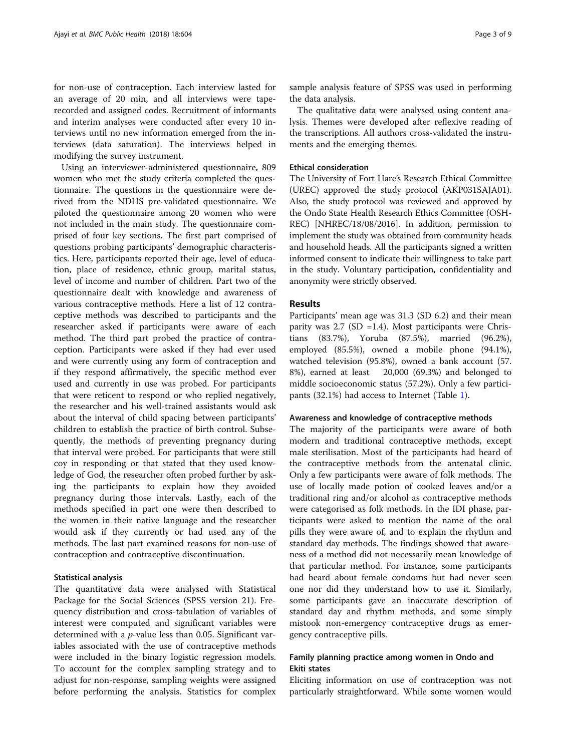for non-use of contraception. Each interview lasted for an average of 20 min, and all interviews were taperecorded and assigned codes. Recruitment of informants and interim analyses were conducted after every 10 interviews until no new information emerged from the interviews (data saturation). The interviews helped in modifying the survey instrument.

Using an interviewer-administered questionnaire, 809 women who met the study criteria completed the questionnaire. The questions in the questionnaire were derived from the NDHS pre-validated questionnaire. We piloted the questionnaire among 20 women who were not included in the main study. The questionnaire comprised of four key sections. The first part comprised of questions probing participants' demographic characteristics. Here, participants reported their age, level of education, place of residence, ethnic group, marital status, level of income and number of children. Part two of the questionnaire dealt with knowledge and awareness of various contraceptive methods. Here a list of 12 contraceptive methods was described to participants and the researcher asked if participants were aware of each method. The third part probed the practice of contraception. Participants were asked if they had ever used and were currently using any form of contraception and if they respond affirmatively, the specific method ever used and currently in use was probed. For participants that were reticent to respond or who replied negatively, the researcher and his well-trained assistants would ask about the interval of child spacing between participants' children to establish the practice of birth control. Subsequently, the methods of preventing pregnancy during that interval were probed. For participants that were still coy in responding or that stated that they used knowledge of God, the researcher often probed further by asking the participants to explain how they avoided pregnancy during those intervals. Lastly, each of the methods specified in part one were then described to the women in their native language and the researcher would ask if they currently or had used any of the methods. The last part examined reasons for non-use of contraception and contraceptive discontinuation.

# Statistical analysis

The quantitative data were analysed with Statistical Package for the Social Sciences (SPSS version 21). Frequency distribution and cross-tabulation of variables of interest were computed and significant variables were determined with a  $p$ -value less than 0.05. Significant variables associated with the use of contraceptive methods were included in the binary logistic regression models. To account for the complex sampling strategy and to adjust for non-response, sampling weights were assigned before performing the analysis. Statistics for complex

sample analysis feature of SPSS was used in performing the data analysis.

The qualitative data were analysed using content analysis. Themes were developed after reflexive reading of the transcriptions. All authors cross-validated the instruments and the emerging themes.

# Ethical consideration

The University of Fort Hare's Research Ethical Committee (UREC) approved the study protocol (AKP031SAJA01). Also, the study protocol was reviewed and approved by the Ondo State Health Research Ethics Committee (OSH-REC) [NHREC/18/08/2016]. In addition, permission to implement the study was obtained from community heads and household heads. All the participants signed a written informed consent to indicate their willingness to take part in the study. Voluntary participation, confidentiality and anonymity were strictly observed.

# **Results**

Participants' mean age was 31.3 (SD 6.2) and their mean parity was  $2.7$  (SD =1.4). Most participants were Christians (83.7%), Yoruba (87.5%), married (96.2%), employed (85.5%), owned a mobile phone (94.1%), watched television (95.8%), owned a bank account (57. 8%), earned at least 20,000 (69.3%) and belonged to middle socioeconomic status (57.2%). Only a few participants (32.1%) had access to Internet (Table [1](#page-3-0)).

# Awareness and knowledge of contraceptive methods

The majority of the participants were aware of both modern and traditional contraceptive methods, except male sterilisation. Most of the participants had heard of the contraceptive methods from the antenatal clinic. Only a few participants were aware of folk methods. The use of locally made potion of cooked leaves and/or a traditional ring and/or alcohol as contraceptive methods were categorised as folk methods. In the IDI phase, participants were asked to mention the name of the oral pills they were aware of, and to explain the rhythm and standard day methods. The findings showed that awareness of a method did not necessarily mean knowledge of that particular method. For instance, some participants had heard about female condoms but had never seen one nor did they understand how to use it. Similarly, some participants gave an inaccurate description of standard day and rhythm methods, and some simply mistook non-emergency contraceptive drugs as emergency contraceptive pills.

# Family planning practice among women in Ondo and Ekiti states

Eliciting information on use of contraception was not particularly straightforward. While some women would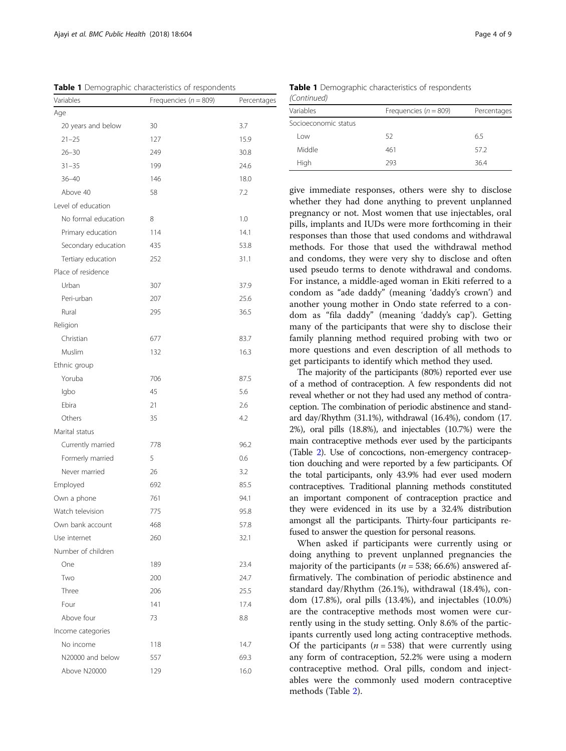<span id="page-3-0"></span>Table 1 Demographic characteristics of respondents

| Variables           | Frequencies ( $n = 809$ ) | Percentages |
|---------------------|---------------------------|-------------|
| Age                 |                           |             |
| 20 years and below  | 30                        | 3.7         |
| $21 - 25$           | 127                       | 15.9        |
| $26 - 30$           | 249                       | 30.8        |
| $31 - 35$           | 199                       | 24.6        |
| $36 - 40$           | 146                       | 18.0        |
| Above 40            | 58                        | 7.2         |
| Level of education  |                           |             |
| No formal education | 8                         | 1.0         |
| Primary education   | 114                       | 14.1        |
| Secondary education | 435                       | 53.8        |
| Tertiary education  | 252                       | 31.1        |
| Place of residence  |                           |             |
| Urban               | 307                       | 37.9        |
| Peri-urban          | 207                       | 25.6        |
| Rural               | 295                       | 36.5        |
| Religion            |                           |             |
| Christian           | 677                       | 83.7        |
| Muslim              | 132                       | 16.3        |
| Ethnic group        |                           |             |
| Yoruba              | 706                       | 87.5        |
| Igbo                | 45                        | 5.6         |
| Ebira               | 21                        | 2.6         |
| Others              | 35                        | 4.2         |
| Marital status      |                           |             |
| Currently married   | 778                       | 96.2        |
| Formerly married    | 5                         | 0.6         |
| Never married       | 26                        | 3.2         |
| Employed            | 692                       | 85.5        |
| Own a phone         | 761                       | 94.1        |
| Watch television    | 775                       | 95.8        |
| Own bank account    | 468                       | 57.8        |
| Use internet        | 260                       | 32.1        |
| Number of children  |                           |             |
| One                 | 189                       | 23.4        |
| Two                 | 200                       | 24.7        |
| Three               | 206                       | 25.5        |
| Four                | 141                       | 17.4        |
| Above four          | 73                        | 8.8         |
| Income categories   |                           |             |
| No income           | 118                       | 14.7        |
| N20000 and below    | 557                       | 69.3        |
| Above N20000        | 129                       | 16.0        |
|                     |                           |             |

|             |  | <b>Table 1</b> Demographic characteristics of respondents |
|-------------|--|-----------------------------------------------------------|
| (Continued) |  |                                                           |

| Frequencies ( $n = 809$ ) | Percentages |
|---------------------------|-------------|
|                           |             |
| 52                        | 6.5         |
| 461                       | 57.2        |
| 293                       | 364         |
|                           |             |

give immediate responses, others were shy to disclose whether they had done anything to prevent unplanned pregnancy or not. Most women that use injectables, oral pills, implants and IUDs were more forthcoming in their responses than those that used condoms and withdrawal methods. For those that used the withdrawal method and condoms, they were very shy to disclose and often used pseudo terms to denote withdrawal and condoms. For instance, a middle-aged woman in Ekiti referred to a condom as "ade daddy" (meaning 'daddy's crown') and another young mother in Ondo state referred to a condom as "fila daddy" (meaning 'daddy's cap'). Getting many of the participants that were shy to disclose their family planning method required probing with two or more questions and even description of all methods to get participants to identify which method they used.

The majority of the participants (80%) reported ever use of a method of contraception. A few respondents did not reveal whether or not they had used any method of contraception. The combination of periodic abstinence and standard day/Rhythm (31.1%), withdrawal (16.4%), condom (17. 2%), oral pills (18.8%), and injectables (10.7%) were the main contraceptive methods ever used by the participants (Table [2\)](#page-4-0). Use of concoctions, non-emergency contraception douching and were reported by a few participants. Of the total participants, only 43.9% had ever used modern contraceptives. Traditional planning methods constituted an important component of contraception practice and they were evidenced in its use by a 32.4% distribution amongst all the participants. Thirty-four participants refused to answer the question for personal reasons.

When asked if participants were currently using or doing anything to prevent unplanned pregnancies the majority of the participants ( $n = 538$ ; 66.6%) answered affirmatively. The combination of periodic abstinence and standard day/Rhythm (26.1%), withdrawal (18.4%), condom (17.8%), oral pills (13.4%), and injectables (10.0%) are the contraceptive methods most women were currently using in the study setting. Only 8.6% of the participants currently used long acting contraceptive methods. Of the participants  $(n = 538)$  that were currently using any form of contraception, 52.2% were using a modern contraceptive method. Oral pills, condom and injectables were the commonly used modern contraceptive methods (Table [2](#page-4-0)).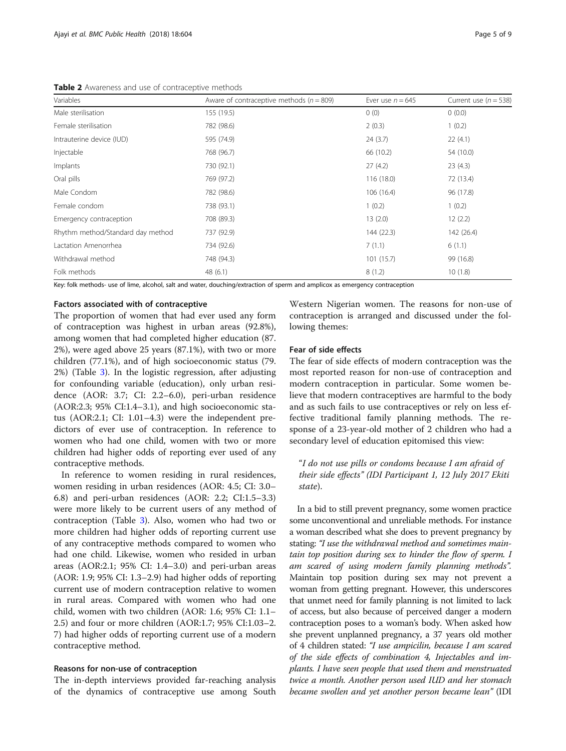<span id="page-4-0"></span>Table 2 Awareness and use of contraceptive methods

| Variables                         | Aware of contraceptive methods ( $n = 809$ ) | Ever use $n = 645$ | Current use $(n = 538)$ |
|-----------------------------------|----------------------------------------------|--------------------|-------------------------|
| Male sterilisation                | 155 (19.5)                                   | 0(0)               | 0(0.0)                  |
| Female sterilisation              | 782 (98.6)                                   | 2(0.3)             | 1(0.2)                  |
| Intrauterine device (IUD)         | 595 (74.9)                                   | 24(3.7)            | 22(4.1)                 |
| Injectable                        | 768 (96.7)                                   | 66 (10.2)          | 54 (10.0)               |
| Implants                          | 730 (92.1)                                   | 27(4.2)            | 23(4.3)                 |
| Oral pills                        | 769 (97.2)                                   | 116 (18.0)         | 72 (13.4)               |
| Male Condom                       | 782 (98.6)                                   | 106(16.4)          | 96 (17.8)               |
| Female condom                     | 738 (93.1)                                   | 1(0.2)             | 1(0.2)                  |
| Emergency contraception           | 708 (89.3)                                   | 13(2.0)            | 12(2.2)                 |
| Rhythm method/Standard day method | 737 (92.9)                                   | 144 (22.3)         | 142 (26.4)              |
| Lactation Amenorrhea              | 734 (92.6)                                   | 7(1.1)             | 6(1.1)                  |
| Withdrawal method                 | 748 (94.3)                                   | 101(15.7)          | 99 (16.8)               |
| Folk methods                      | 48 (6.1)                                     | 8(1.2)             | 10(1.8)                 |

Key: folk methods- use of lime, alcohol, salt and water, douching/extraction of sperm and amplicox as emergency contraception

#### Factors associated with of contraceptive

The proportion of women that had ever used any form of contraception was highest in urban areas (92.8%), among women that had completed higher education (87. 2%), were aged above 25 years (87.1%), with two or more children (77.1%), and of high socioeconomic status (79. 2%) (Table [3](#page-5-0)). In the logistic regression, after adjusting for confounding variable (education), only urban residence (AOR: 3.7; CI: 2.2–6.0), peri-urban residence (AOR:2.3; 95% CI:1.4–3.1), and high socioeconomic status (AOR:2.1; CI: 1.01–4.3) were the independent predictors of ever use of contraception. In reference to women who had one child, women with two or more children had higher odds of reporting ever used of any contraceptive methods.

In reference to women residing in rural residences, women residing in urban residences (AOR: 4.5; CI: 3.0– 6.8) and peri-urban residences (AOR: 2.2; CI:1.5–3.3) were more likely to be current users of any method of contraception (Table [3](#page-5-0)). Also, women who had two or more children had higher odds of reporting current use of any contraceptive methods compared to women who had one child. Likewise, women who resided in urban areas (AOR:2.1; 95% CI: 1.4–3.0) and peri-urban areas (AOR: 1.9; 95% CI: 1.3–2.9) had higher odds of reporting current use of modern contraception relative to women in rural areas. Compared with women who had one child, women with two children (AOR: 1.6; 95% CI: 1.1– 2.5) and four or more children (AOR:1.7; 95% CI:1.03–2. 7) had higher odds of reporting current use of a modern contraceptive method.

# Reasons for non-use of contraception

The in-depth interviews provided far-reaching analysis of the dynamics of contraceptive use among South

Western Nigerian women. The reasons for non-use of contraception is arranged and discussed under the following themes:

# Fear of side effects

The fear of side effects of modern contraception was the most reported reason for non-use of contraception and modern contraception in particular. Some women believe that modern contraceptives are harmful to the body and as such fails to use contraceptives or rely on less effective traditional family planning methods. The response of a 23-year-old mother of 2 children who had a secondary level of education epitomised this view:

"I do not use pills or condoms because I am afraid of their side effects" (IDI Participant 1, 12 July 2017 Ekiti state).

In a bid to still prevent pregnancy, some women practice some unconventional and unreliable methods. For instance a woman described what she does to prevent pregnancy by stating: "I use the withdrawal method and sometimes maintain top position during sex to hinder the flow of sperm. I am scared of using modern family planning methods". Maintain top position during sex may not prevent a woman from getting pregnant. However, this underscores that unmet need for family planning is not limited to lack of access, but also because of perceived danger a modern contraception poses to a woman's body. When asked how she prevent unplanned pregnancy, a 37 years old mother of 4 children stated: "I use ampicilin, because I am scared of the side effects of combination 4, Injectables and implants. I have seen people that used them and menstruated twice a month. Another person used IUD and her stomach became swollen and yet another person became lean" (IDI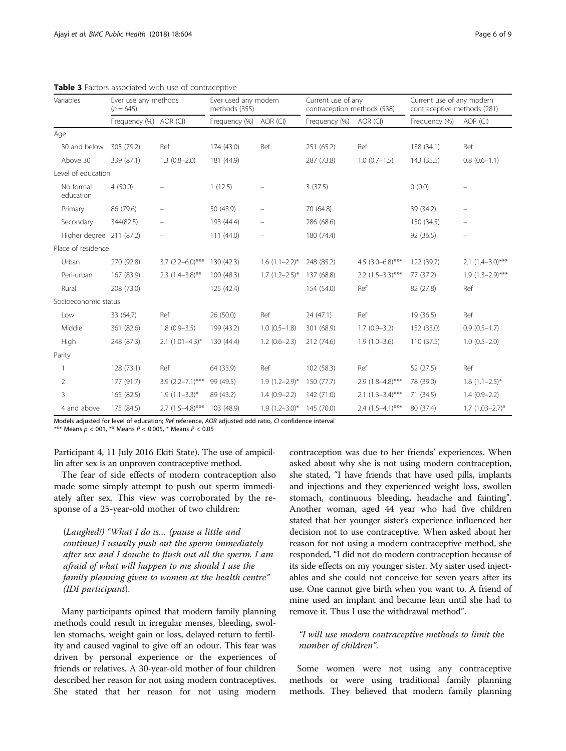| Variables                | Ever use any methods<br>$(n = 645)$ |                      | Ever used any modern<br>methods (355) |                          | Current use of any<br>contraception methods (538) |                       | Current use of any modern<br>contraceptive methods (281) |                       |
|--------------------------|-------------------------------------|----------------------|---------------------------------------|--------------------------|---------------------------------------------------|-----------------------|----------------------------------------------------------|-----------------------|
|                          | Frequency (%) AOR (CI)              |                      | Frequency (%)                         | AOR (CI)                 | Frequency (%)                                     | AOR (CI)              | Frequency (%)                                            | AOR (CI)              |
| Age                      |                                     |                      |                                       |                          |                                                   |                       |                                                          |                       |
| 30 and below             | 305 (79.2)                          | Ref                  | 174 (43.0)                            | Ref                      | 251 (65.2)                                        | Ref                   | 138 (34.1)                                               | Ref                   |
| Above 30                 | 339 (87.1)                          | $1.3(0.8-2.0)$       | 181 (44.9)                            |                          | 287 (73.8)                                        | $1.0(0.7-1.5)$        | 143 (35.5)                                               | $0.8(0.6-1.1)$        |
| Level of education       |                                     |                      |                                       |                          |                                                   |                       |                                                          |                       |
| No formal<br>education   | 4(50.0)                             |                      | 1(12.5)                               |                          | 3(37.5)                                           |                       | 0(0.0)                                                   |                       |
| Primary                  | 86 (79.6)                           |                      | 50 (43.9)                             | $\qquad \qquad -$        | 70 (64.8)                                         |                       | 39 (34.2)                                                |                       |
| Secondary                | 344(82.5)                           |                      | 193 (44.4)                            | $\qquad \qquad -$        | 286 (68.6)                                        |                       | 150 (34.5)                                               |                       |
| Higher degree 211 (87.2) |                                     |                      | 111(44.0)                             | $\overline{\phantom{0}}$ | 180 (74.4)                                        |                       | 92 (36.5)                                                |                       |
| Place of residence       |                                     |                      |                                       |                          |                                                   |                       |                                                          |                       |
| Urban                    | 270 (92.8)                          | $3.7$ (2.2-6.0)***   | 130(42.3)                             | $1.6(1.1-2.2)^{*}$       | 248 (85.2)                                        | 4.5 $(3.0 - 6.8)$ *** | 122 (39.7)                                               | $2.1 (1.4 - 3.0)$ *** |
| Peri-urban               | 167 (83.9)                          | $2.3$ (1.4-3.8)**    | 100 (48.3)                            | $1.7(1.2-2.5)^{*}$       | 137 (68.8)                                        | $2.2$ (1.5-3.3)***    | 77 (37.2)                                                | $1.9(1.3-2.9)$ ***    |
| Rural                    | 208 (73.0)                          |                      | 125 (42.4)                            |                          | 154 (54.0)                                        | Ref                   | 82 (27.8)                                                | Ref                   |
| Socioeconomic status     |                                     |                      |                                       |                          |                                                   |                       |                                                          |                       |
| Low                      | 33 (64.7)                           | Ref                  | 26 (50.0)                             | Ref                      | 24(47.1)                                          | Ref                   | 19 (36.5)                                                | Ref                   |
| Middle                   | 361 (82.6)                          | $1.8(0.9 - 3.5)$     | 199 (43.2)                            | $1.0(0.5-1.8)$           | 301 (68.9)                                        | $1.7(0.9-3.2)$        | 152 (33.0)                                               | $0.9(0.5-1.7)$        |
| High                     | 248 (87.3)                          | $2.1(1.01-4.3)$ *    | 130 (44.4)                            | $1.2(0.6-2.3)$           | 212 (74.6)                                        | $1.9(1.0-3.6)$        | 110 (37.5)                                               | $1.0(0.5-2.0)$        |
| Parity                   |                                     |                      |                                       |                          |                                                   |                       |                                                          |                       |
| $\overline{1}$           | 128 (73.1)                          | Ref                  | 64 (33.9)                             | Ref                      | 102 (58.3)                                        | Ref                   | 52 (27.5)                                                | Ref                   |
| $\overline{2}$           | 177 (91.7)                          | $3.9(2.2 - 7.1)$ *** | 99 (49.5)                             | $1.9(1.2 - 2.9)^*$       | 150 (77.7)                                        | $2.9(1.8-4.8)$ ***    | 78 (39.0)                                                | $1.6(1.1-2.5)^{*}$    |
| $\overline{3}$           | 165 (82.5)                          | $1.9(1.1-3.3)^{*}$   | 89 (43.2)                             | $1.4(0.9-2.2)$           | 142 (71.0)                                        | $2.1 (1.3 - 3.4)$ *** | 71 (34.5)                                                | $1.4(0.9-2.2)$        |
| 4 and above              | 175 (84.5)                          | $2.7$ (1.5-4.8)***   | 103 (48.9)                            | $1.9(1.2-3.0)$ *         | 145 (70.0)                                        | $2.4(1.5-4.1)$ ***    | 80 (37.4)                                                | $1.7(1.03-2.7)$ *     |

<span id="page-5-0"></span>Table 3 Factors associated with use of contraceptive

Models adjusted for level of education; Ref reference, AOR adjusted odd ratio, CI confidence interval

\*\*\* Means  $p < 001$ , \*\* Means  $P < 0.005$ , \* Means  $P < 0.05$ 

Participant 4, 11 July 2016 Ekiti State). The use of ampicillin after sex is an unproven contraceptive method.

The fear of side effects of modern contraception also made some simply attempt to push out sperm immediately after sex. This view was corroborated by the response of a 25-year-old mother of two children:

(Laughed!) "What I do is… (pause a little and continue) I usually push out the sperm immediately after sex and I douche to flush out all the sperm. I am afraid of what will happen to me should I use the family planning given to women at the health centre" (IDI participant).

Many participants opined that modern family planning methods could result in irregular menses, bleeding, swollen stomachs, weight gain or loss, delayed return to fertility and caused vaginal to give off an odour. This fear was driven by personal experience or the experiences of friends or relatives. A 30-year-old mother of four children described her reason for not using modern contraceptives. She stated that her reason for not using modern

contraception was due to her friends' experiences. When asked about why she is not using modern contraception, she stated, "I have friends that have used pills, implants and injections and they experienced weight loss, swollen stomach, continuous bleeding, headache and fainting". Another woman, aged 44 year who had five children stated that her younger sister's experience influenced her decision not to use contraceptive. When asked about her reason for not using a modern contraceptive method, she responded, "I did not do modern contraception because of its side effects on my younger sister. My sister used injectables and she could not conceive for seven years after its use. One cannot give birth when you want to. A friend of mine used an implant and became lean until she had to remove it. Thus I use the withdrawal method".

# "I will use modern contraceptive methods to limit the number of children".

Some women were not using any contraceptive methods or were using traditional family planning methods. They believed that modern family planning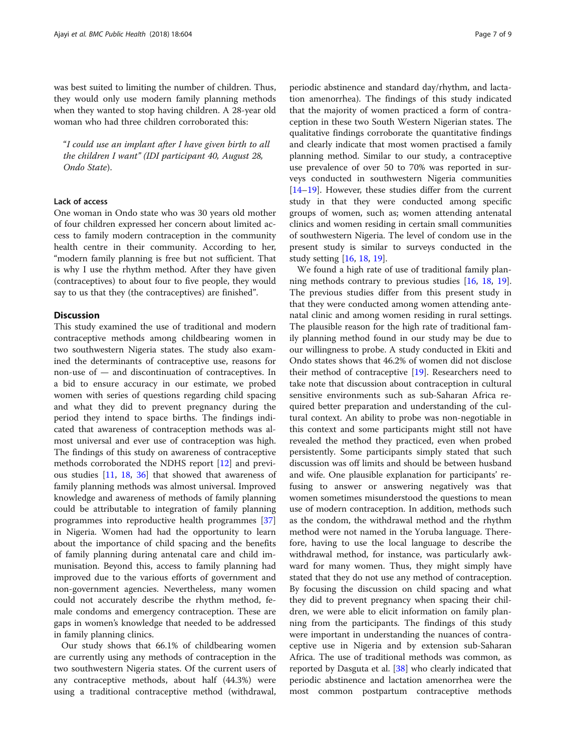was best suited to limiting the number of children. Thus, they would only use modern family planning methods when they wanted to stop having children. A 28-year old woman who had three children corroborated this:

"I could use an implant after I have given birth to all the children I want" (IDI participant 40, August 28, Ondo State).

# Lack of access

One woman in Ondo state who was 30 years old mother of four children expressed her concern about limited access to family modern contraception in the community health centre in their community. According to her, "modern family planning is free but not sufficient. That is why I use the rhythm method. After they have given (contraceptives) to about four to five people, they would say to us that they (the contraceptives) are finished".

# **Discussion**

This study examined the use of traditional and modern contraceptive methods among childbearing women in two southwestern Nigeria states. The study also examined the determinants of contraceptive use, reasons for non-use of — and discontinuation of contraceptives. In a bid to ensure accuracy in our estimate, we probed women with series of questions regarding child spacing and what they did to prevent pregnancy during the period they intend to space births. The findings indicated that awareness of contraception methods was almost universal and ever use of contraception was high. The findings of this study on awareness of contraceptive methods corroborated the NDHS report [\[12](#page-8-0)] and previous studies [\[11,](#page-8-0) [18](#page-8-0), [36\]](#page-8-0) that showed that awareness of family planning methods was almost universal. Improved knowledge and awareness of methods of family planning could be attributable to integration of family planning programmes into reproductive health programmes [[37](#page-8-0)] in Nigeria. Women had had the opportunity to learn about the importance of child spacing and the benefits of family planning during antenatal care and child immunisation. Beyond this, access to family planning had improved due to the various efforts of government and non-government agencies. Nevertheless, many women could not accurately describe the rhythm method, female condoms and emergency contraception. These are gaps in women's knowledge that needed to be addressed in family planning clinics.

Our study shows that 66.1% of childbearing women are currently using any methods of contraception in the two southwestern Nigeria states. Of the current users of any contraceptive methods, about half (44.3%) were using a traditional contraceptive method (withdrawal,

periodic abstinence and standard day/rhythm, and lactation amenorrhea). The findings of this study indicated that the majority of women practiced a form of contraception in these two South Western Nigerian states. The qualitative findings corroborate the quantitative findings and clearly indicate that most women practised a family planning method. Similar to our study, a contraceptive use prevalence of over 50 to 70% was reported in surveys conducted in southwestern Nigeria communities [[14](#page-8-0)–[19](#page-8-0)]. However, these studies differ from the current study in that they were conducted among specific groups of women, such as; women attending antenatal clinics and women residing in certain small communities of southwestern Nigeria. The level of condom use in the present study is similar to surveys conducted in the study setting [[16,](#page-8-0) [18,](#page-8-0) [19](#page-8-0)].

We found a high rate of use of traditional family planning methods contrary to previous studies [\[16](#page-8-0), [18](#page-8-0), [19](#page-8-0)]. The previous studies differ from this present study in that they were conducted among women attending antenatal clinic and among women residing in rural settings. The plausible reason for the high rate of traditional family planning method found in our study may be due to our willingness to probe. A study conducted in Ekiti and Ondo states shows that 46.2% of women did not disclose their method of contraceptive [\[19](#page-8-0)]. Researchers need to take note that discussion about contraception in cultural sensitive environments such as sub-Saharan Africa required better preparation and understanding of the cultural context. An ability to probe was non-negotiable in this context and some participants might still not have revealed the method they practiced, even when probed persistently. Some participants simply stated that such discussion was off limits and should be between husband and wife. One plausible explanation for participants' refusing to answer or answering negatively was that women sometimes misunderstood the questions to mean use of modern contraception. In addition, methods such as the condom, the withdrawal method and the rhythm method were not named in the Yoruba language. Therefore, having to use the local language to describe the withdrawal method, for instance, was particularly awkward for many women. Thus, they might simply have stated that they do not use any method of contraception. By focusing the discussion on child spacing and what they did to prevent pregnancy when spacing their children, we were able to elicit information on family planning from the participants. The findings of this study were important in understanding the nuances of contraceptive use in Nigeria and by extension sub-Saharan Africa. The use of traditional methods was common, as reported by Dasguta et al. [[38\]](#page-8-0) who clearly indicated that periodic abstinence and lactation amenorrhea were the most common postpartum contraceptive methods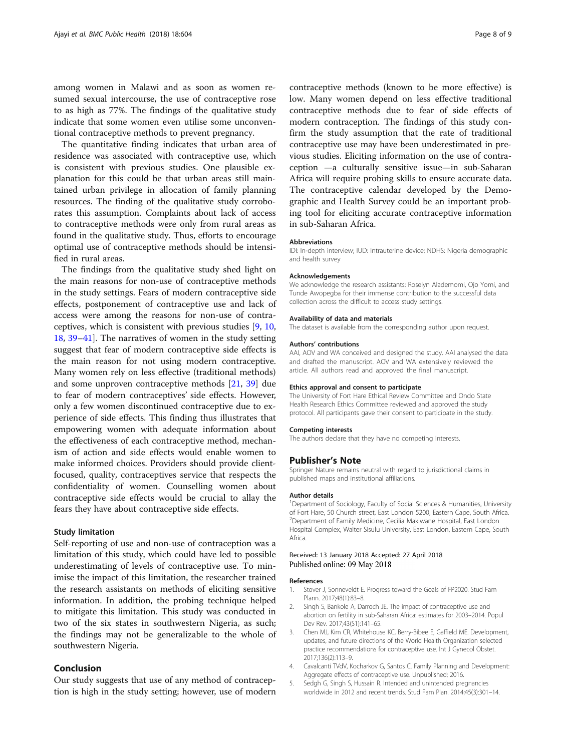<span id="page-7-0"></span>among women in Malawi and as soon as women resumed sexual intercourse, the use of contraceptive rose to as high as 77%. The findings of the qualitative study indicate that some women even utilise some unconventional contraceptive methods to prevent pregnancy.

The quantitative finding indicates that urban area of residence was associated with contraceptive use, which is consistent with previous studies. One plausible explanation for this could be that urban areas still maintained urban privilege in allocation of family planning resources. The finding of the qualitative study corroborates this assumption. Complaints about lack of access to contraceptive methods were only from rural areas as found in the qualitative study. Thus, efforts to encourage optimal use of contraceptive methods should be intensified in rural areas.

The findings from the qualitative study shed light on the main reasons for non-use of contraceptive methods in the study settings. Fears of modern contraceptive side effects, postponement of contraceptive use and lack of access were among the reasons for non-use of contraceptives, which is consistent with previous studies [\[9](#page-8-0), [10](#page-8-0), [18,](#page-8-0) [39](#page-8-0)–[41](#page-8-0)]. The narratives of women in the study setting suggest that fear of modern contraceptive side effects is the main reason for not using modern contraceptive. Many women rely on less effective (traditional methods) and some unproven contraceptive methods [\[21](#page-8-0), [39\]](#page-8-0) due to fear of modern contraceptives' side effects. However, only a few women discontinued contraceptive due to experience of side effects. This finding thus illustrates that empowering women with adequate information about the effectiveness of each contraceptive method, mechanism of action and side effects would enable women to make informed choices. Providers should provide clientfocused, quality, contraceptives service that respects the confidentiality of women. Counselling women about contraceptive side effects would be crucial to allay the fears they have about contraceptive side effects.

# Study limitation

Self-reporting of use and non-use of contraception was a limitation of this study, which could have led to possible underestimating of levels of contraceptive use. To minimise the impact of this limitation, the researcher trained the research assistants on methods of eliciting sensitive information. In addition, the probing technique helped to mitigate this limitation. This study was conducted in two of the six states in southwestern Nigeria, as such; the findings may not be generalizable to the whole of southwestern Nigeria.

# Conclusion

Our study suggests that use of any method of contraception is high in the study setting; however, use of modern

contraceptive methods (known to be more effective) is low. Many women depend on less effective traditional contraceptive methods due to fear of side effects of modern contraception. The findings of this study confirm the study assumption that the rate of traditional contraceptive use may have been underestimated in previous studies. Eliciting information on the use of contraception —a culturally sensitive issue—in sub-Saharan Africa will require probing skills to ensure accurate data. The contraceptive calendar developed by the Demographic and Health Survey could be an important probing tool for eliciting accurate contraceptive information in sub-Saharan Africa.

#### **Abbreviations**

IDI: In-depth interview; IUD: Intrauterine device; NDHS: Nigeria demographic and health survey

#### Acknowledgements

We acknowledge the research assistants: Roselyn Alademomi, Ojo Yomi, and Tunde Awopegba for their immense contribution to the successful data collection across the difficult to access study settings.

#### Availability of data and materials

The dataset is available from the corresponding author upon request.

#### Authors' contributions

AAI, AOV and WA conceived and designed the study. AAI analysed the data and drafted the manuscript. AOV and WA extensively reviewed the article. All authors read and approved the final manuscript.

#### Ethics approval and consent to participate

The University of Fort Hare Ethical Review Committee and Ondo State Health Research Ethics Committee reviewed and approved the study protocol. All participants gave their consent to participate in the study.

#### Competing interests

The authors declare that they have no competing interests.

## Publisher's Note

Springer Nature remains neutral with regard to jurisdictional claims in published maps and institutional affiliations.

#### Author details

<sup>1</sup>Department of Sociology, Faculty of Social Sciences & Humanities, University of Fort Hare, 50 Church street, East London 5200, Eastern Cape, South Africa. 2 Department of Family Medicine, Cecilia Makiwane Hospital, East London Hospital Complex, Walter Sisulu University, East London, Eastern Cape, South Africa.

# Received: 13 January 2018 Accepted: 27 April 2018 Published online: 09 May 2018

#### References

- Stover J, Sonneveldt E. Progress toward the Goals of FP2020. Stud Fam Plann. 2017;48(1):83–8.
- 2. Singh S, Bankole A, Darroch JE. The impact of contraceptive use and abortion on fertility in sub-Saharan Africa: estimates for 2003–2014. Popul Dev Rev. 2017;43(S1):141–65.
- 3. Chen MJ, Kim CR, Whitehouse KC, Berry-Bibee E, Gaffield ME. Development, updates, and future directions of the World Health Organization selected practice recommendations for contraceptive use. Int J Gynecol Obstet. 2017;136(2):113–9.
- 4. Cavalcanti TVdV, Kocharkov G, Santos C. Family Planning and Development: Aggregate effects of contraceptive use. Unpublished; 2016.
- 5. Sedgh G, Singh S, Hussain R. Intended and unintended pregnancies worldwide in 2012 and recent trends. Stud Fam Plan. 2014;45(3):301–14.